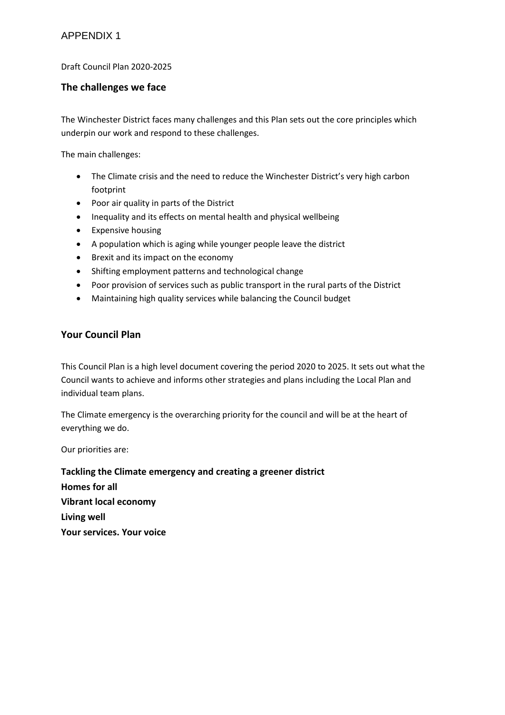### Draft Council Plan 2020-2025

## **The challenges we face**

The Winchester District faces many challenges and this Plan sets out the core principles which underpin our work and respond to these challenges.

The main challenges:

- The Climate crisis and the need to reduce the Winchester District's very high carbon footprint
- Poor air quality in parts of the District
- Inequality and its effects on mental health and physical wellbeing
- Expensive housing
- A population which is aging while younger people leave the district
- Brexit and its impact on the economy
- Shifting employment patterns and technological change
- Poor provision of services such as public transport in the rural parts of the District
- Maintaining high quality services while balancing the Council budget

## **Your Council Plan**

This Council Plan is a high level document covering the period 2020 to 2025. It sets out what the Council wants to achieve and informs other strategies and plans including the Local Plan and individual team plans.

The Climate emergency is the overarching priority for the council and will be at the heart of everything we do.

Our priorities are:

**Tackling the Climate emergency and creating a greener district Homes for all Vibrant local economy Living well Your services. Your voice**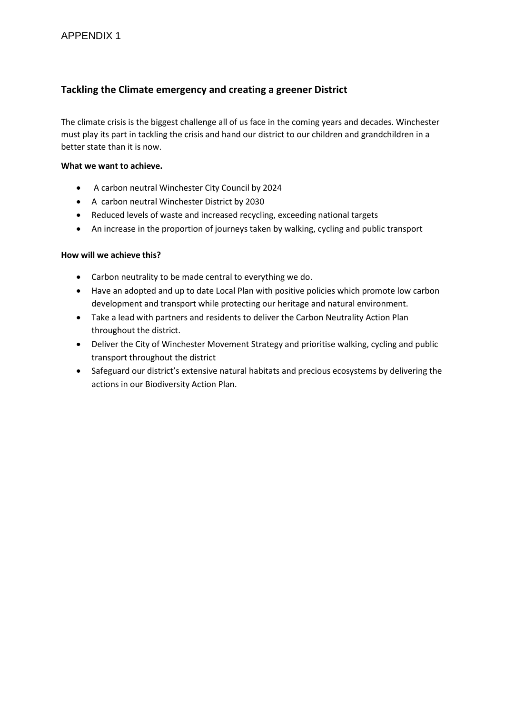# **Tackling the Climate emergency and creating a greener District**

The climate crisis is the biggest challenge all of us face in the coming years and decades. Winchester must play its part in tackling the crisis and hand our district to our children and grandchildren in a better state than it is now.

### **What we want to achieve.**

- A carbon neutral Winchester City Council by 2024
- A carbon neutral Winchester District by 2030
- Reduced levels of waste and increased recycling, exceeding national targets
- An increase in the proportion of journeys taken by walking, cycling and public transport

- Carbon neutrality to be made central to everything we do.
- Have an adopted and up to date Local Plan with positive policies which promote low carbon development and transport while protecting our heritage and natural environment.
- Take a lead with partners and residents to deliver the Carbon Neutrality Action Plan throughout the district.
- Deliver the City of Winchester Movement Strategy and prioritise walking, cycling and public transport throughout the district
- Safeguard our district's extensive natural habitats and precious ecosystems by delivering the actions in our Biodiversity Action Plan.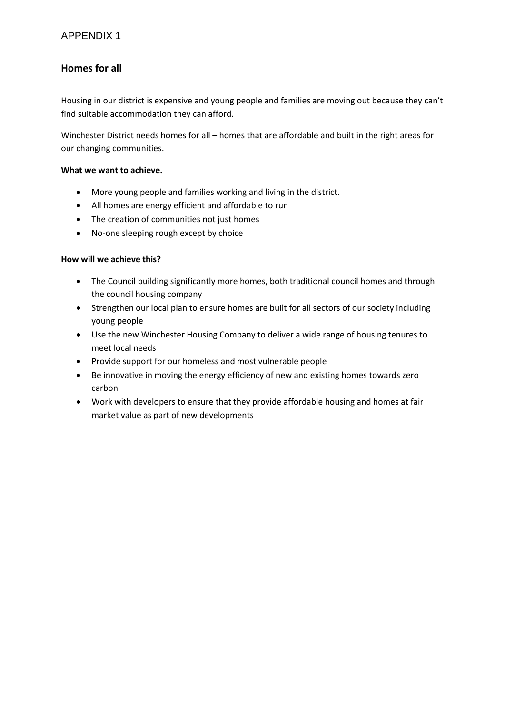# **Homes for all**

Housing in our district is expensive and young people and families are moving out because they can't find suitable accommodation they can afford.

Winchester District needs homes for all – homes that are affordable and built in the right areas for our changing communities.

### **What we want to achieve.**

- More young people and families working and living in the district.
- All homes are energy efficient and affordable to run
- The creation of communities not just homes
- No-one sleeping rough except by choice

- The Council building significantly more homes, both traditional council homes and through the council housing company
- Strengthen our local plan to ensure homes are built for all sectors of our society including young people
- Use the new Winchester Housing Company to deliver a wide range of housing tenures to meet local needs
- Provide support for our homeless and most vulnerable people
- Be innovative in moving the energy efficiency of new and existing homes towards zero carbon
- Work with developers to ensure that they provide affordable housing and homes at fair market value as part of new developments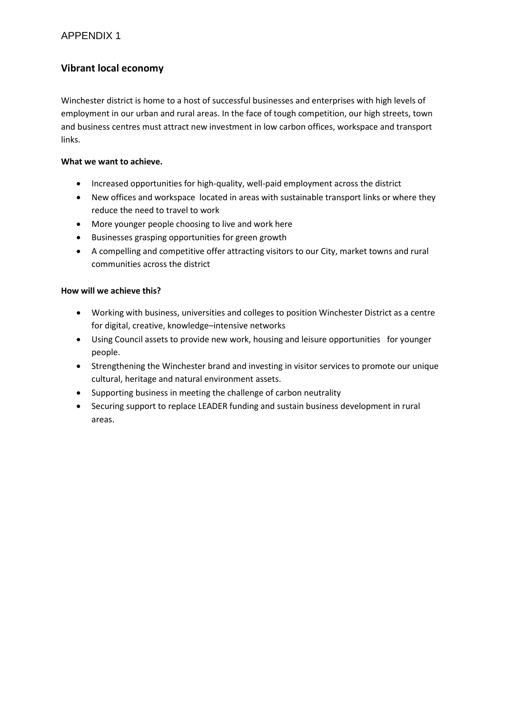## APPENDIX 1

## **Vibrant local economy**

Winchester district is home to a host of successful businesses and enterprises with high levels of employment in our urban and rural areas. In the face of tough competition, our high streets, town and business centres must attract new investment in low carbon offices, workspace and transport links.

### **What we want to achieve.**

- Increased opportunities for high-quality, well-paid employment across the district
- New offices and workspace located in areas with sustainable transport links or where they reduce the need to travel to work
- More younger people choosing to live and work here
- Businesses grasping opportunities for green growth
- A compelling and competitive offer attracting visitors to our City, market towns and rural communities across the district

- Working with business, universities and colleges to position Winchester District as a centre for digital, creative, knowledge–intensive networks
- Using Council assets to provide new work, housing and leisure opportunities for younger people.
- Strengthening the Winchester brand and investing in visitor services to promote our unique cultural, heritage and natural environment assets.
- Supporting business in meeting the challenge of carbon neutrality
- Securing support to replace LEADER funding and sustain business development in rural areas.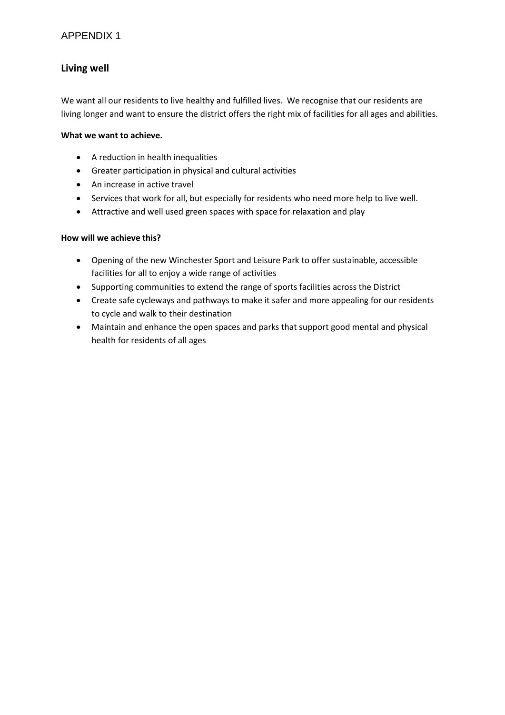## APPENDIX 1

## **Living well**

We want all our residents to live healthy and fulfilled lives. We recognise that our residents are living longer and want to ensure the district offers the right mix of facilities for all ages and abilities.

### **What we want to achieve.**

- A reduction in health inequalities
- Greater participation in physical and cultural activities
- An increase in active travel
- Services that work for all, but especially for residents who need more help to live well.
- Attractive and well used green spaces with space for relaxation and play

- Opening of the new Winchester Sport and Leisure Park to offer sustainable, accessible facilities for all to enjoy a wide range of activities
- Supporting communities to extend the range of sports facilities across the District
- Create safe cycleways and pathways to make it safer and more appealing for our residents to cycle and walk to their destination
- Maintain and enhance the open spaces and parks that support good mental and physical health for residents of all ages